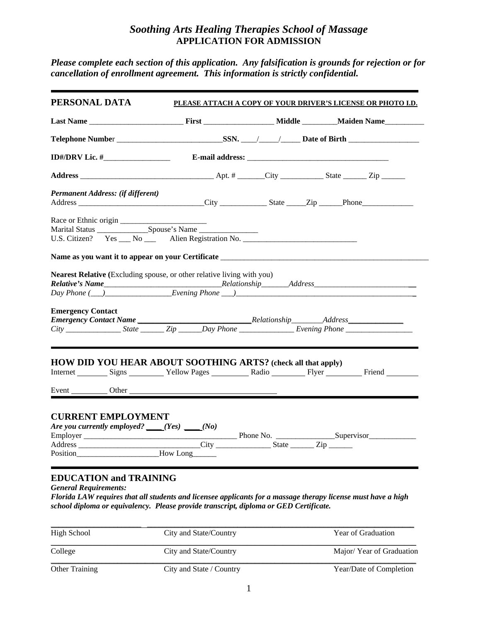## *Soothing Arts Healing Therapies School of Massage*  **APPLICATION FOR ADMISSION**

*Please complete each section of this application. Any falsification is grounds for rejection or for cancellation of enrollment agreement. This information is strictly confidential.* 

|                                                                                                     | PLEASE ATTACH A COPY OF YOUR DRIVER'S LICENSE OR PHOTO I.D. |  |  |  |
|-----------------------------------------------------------------------------------------------------|-------------------------------------------------------------|--|--|--|
|                                                                                                     |                                                             |  |  |  |
|                                                                                                     |                                                             |  |  |  |
| ID#/DRV Lic. # $\frac{1}{2}$                                                                        |                                                             |  |  |  |
|                                                                                                     |                                                             |  |  |  |
| Permanent Address: (if different)                                                                   |                                                             |  |  |  |
|                                                                                                     |                                                             |  |  |  |
| U.S. Citizen? Yes ___ No ___ Alien Registration No. ____________________________                    |                                                             |  |  |  |
| <b>Emergency Contact</b>                                                                            |                                                             |  |  |  |
| <b>HOW DID YOU HEAR ABOUT SOOTHING ARTS?</b> (check all that apply)                                 |                                                             |  |  |  |
| Internet Signs __________ Yellow Pages __________ Radio __________ Flyer __________ Friend ________ |                                                             |  |  |  |
|                                                                                                     |                                                             |  |  |  |

*Florida LAW requires that all students and licensee applicants for a massage therapy license must have a high school diploma or equivalency. Please provide transcript, diploma or GED Certificate.* 

| High School           | City and State/Country   | <b>Year of Graduation</b> |  |  |
|-----------------------|--------------------------|---------------------------|--|--|
| College               | City and State/Country   | Major/Year of Graduation  |  |  |
| <b>Other Training</b> | City and State / Country | Year/Date of Completion   |  |  |